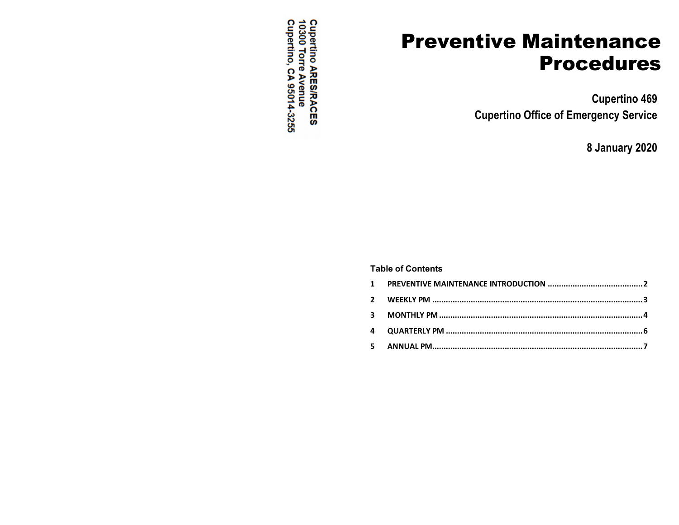Cupertino ARES/RACES<br>10300 Torre Avenue<br>Cupertino, CA 95014-3255

# **Preventive Maintenance Procedures**

**Cupertino 469 Cupertino Office of Emergency Service**

**8 January 2020**

#### **Table of Contents**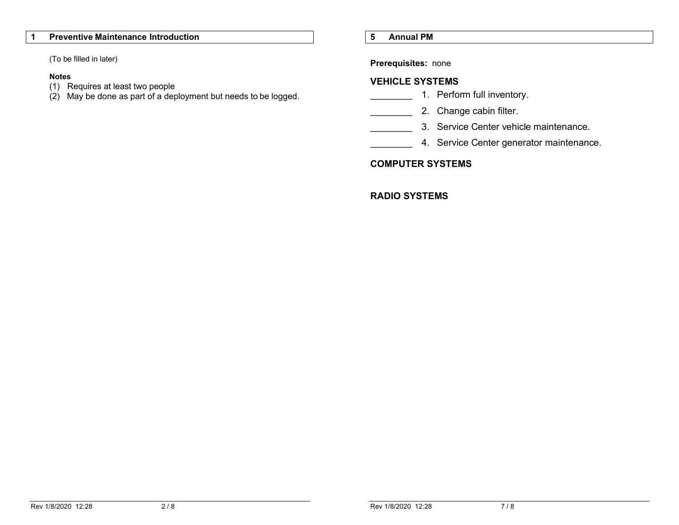#### **1 Preventive Maintenance Introduction**

(To be filled in later)

#### **Notes**

- (1) Requires at least two people
- $(2)$  May be done as part of a deployment but needs to be logged.

#### **5 Annual PM**

**Prerequisites:** none

#### **VEHICLE SYSTEMS**

- \_\_\_\_\_\_\_\_ 1. Perform full inventory.
- **2.** Change cabin filter.
- 3. Service Center vehicle maintenance.
- 4. Service Center generator maintenance.

#### **COMPUTER SYSTEMS**

#### **RADIO SYSTEMS**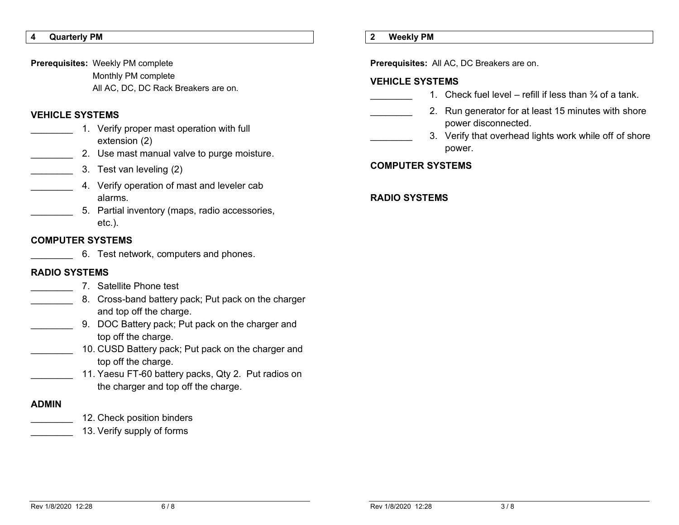**VEHICLE SYSTEMS**

**4 Quarterly PM**

1. Verify proper mast operation with full extension (2)

Monthly PM complete

2. Use mast manual valve to purge moisture.

All AC, DC, DC Rack Breakers are on.

\_\_\_\_\_\_\_\_ 3. Test van leveling (2)

**Prerequisites:** Weekly PM complete

- **4.** Verify operation of mast and leveler cab alarms.
	- \_\_\_\_\_\_\_\_ 5. Partial inventory (maps, radio accessories, etc.).

#### **COMPUTER SYSTEMS**

6. Test network, computers and phones.

### **RADIO SYSTEMS**

- \_\_\_\_\_\_\_\_ 7. Satellite Phone test
- 8. Cross-band battery pack; Put pack on the charger and top off the charge.
	- 9. DOC Battery pack; Put pack on the charger and top off the charge.
	- 10. CUSD Battery pack; Put pack on the charger and top off the charge.
	- 11. Yaesu FT-60 battery packs, Qty 2. Put radios on the charger and top off the charge.

#### **ADMIN**

- 12. Check position binders
- 13. Verify supply of forms

#### **2 Weekly PM**

**Prerequisites:** All AC, DC Breakers are on.

#### **VEHICLE SYSTEMS**

- 1. Check fuel level refill if less than  $\frac{3}{4}$  of a tank.
- 2. Run generator for at least 15 minutes with shore power disconnected.
	- 3. Verify that overhead lights work while off of shore power.

#### **COMPUTER SYSTEMS**

#### **RADIO SYSTEMS**